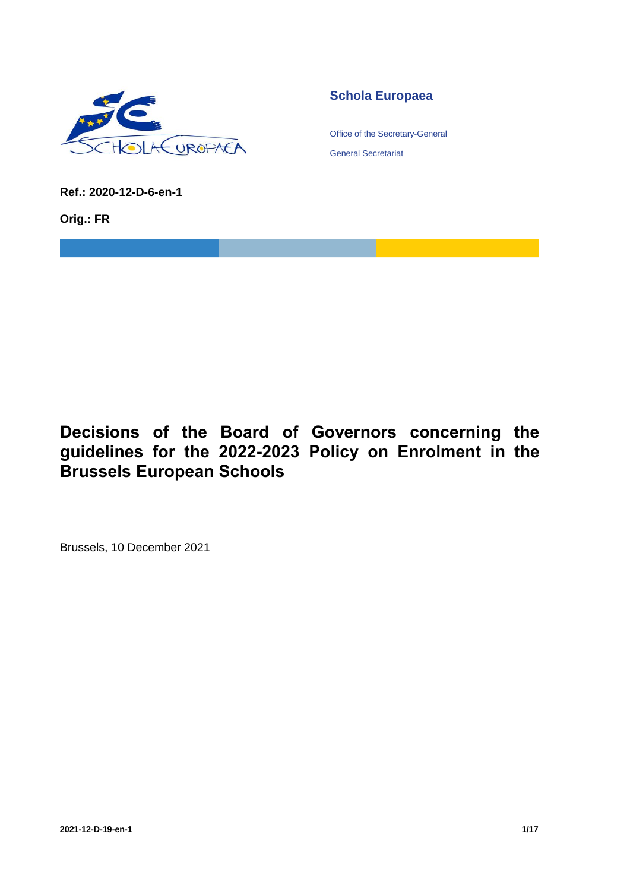

# **Schola Europaea**

Office of the Secretary-General

General Secretariat

**Ref.: 2020-12-D-6-en-1**

**Orig.: FR**

# **Decisions of the Board of Governors concerning the guidelines for the 2022-2023 Policy on Enrolment in the Brussels European Schools**

Brussels, 10 December 2021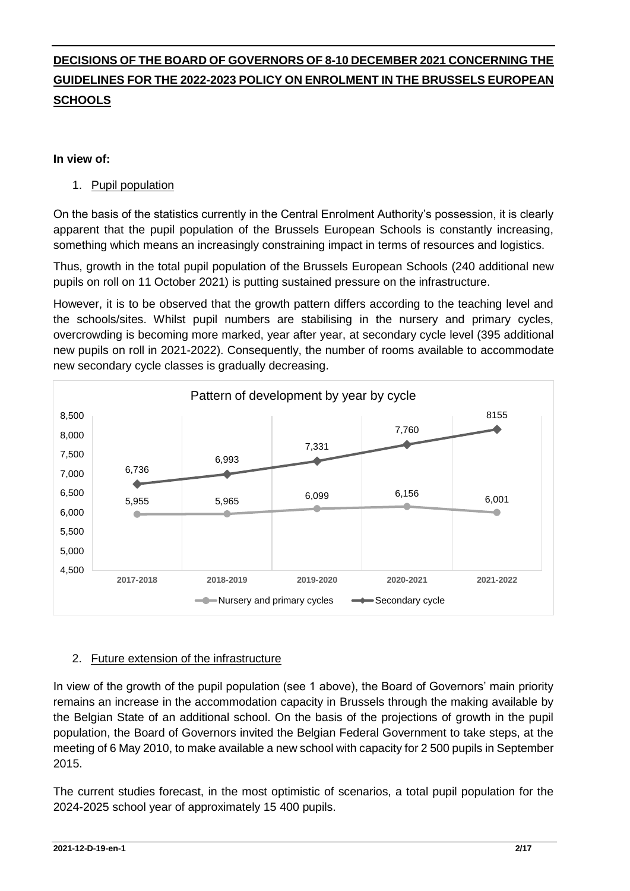# **DECISIONS OF THE BOARD OF GOVERNORS OF 8-10 DECEMBER 2021 CONCERNING THE GUIDELINES FOR THE 2022-2023 POLICY ON ENROLMENT IN THE BRUSSELS EUROPEAN SCHOOLS**

#### **In view of:**

#### 1. Pupil population

On the basis of the statistics currently in the Central Enrolment Authority's possession, it is clearly apparent that the pupil population of the Brussels European Schools is constantly increasing, something which means an increasingly constraining impact in terms of resources and logistics.

Thus, growth in the total pupil population of the Brussels European Schools (240 additional new pupils on roll on 11 October 2021) is putting sustained pressure on the infrastructure.

However, it is to be observed that the growth pattern differs according to the teaching level and the schools/sites. Whilst pupil numbers are stabilising in the nursery and primary cycles, overcrowding is becoming more marked, year after year, at secondary cycle level (395 additional new pupils on roll in 2021-2022). Consequently, the number of rooms available to accommodate new secondary cycle classes is gradually decreasing.



#### 2. Future extension of the infrastructure

In view of the growth of the pupil population (see 1 above), the Board of Governors' main priority remains an increase in the accommodation capacity in Brussels through the making available by the Belgian State of an additional school. On the basis of the projections of growth in the pupil population, the Board of Governors invited the Belgian Federal Government to take steps, at the meeting of 6 May 2010, to make available a new school with capacity for 2 500 pupils in September 2015.

The current studies forecast, in the most optimistic of scenarios, a total pupil population for the 2024-2025 school year of approximately 15 400 pupils.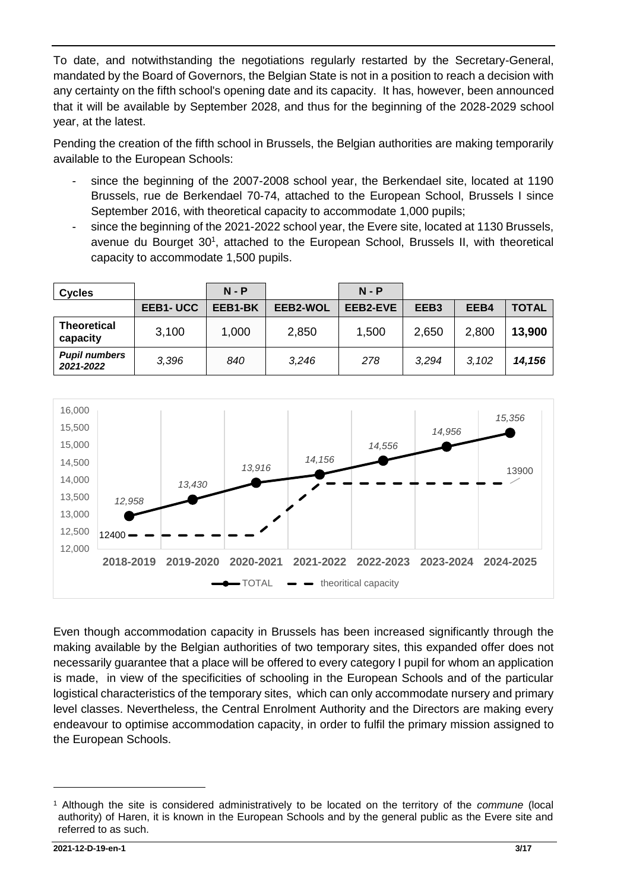To date, and notwithstanding the negotiations regularly restarted by the Secretary-General, mandated by the Board of Governors, the Belgian State is not in a position to reach a decision with any certainty on the fifth school's opening date and its capacity. It has, however, been announced that it will be available by September 2028, and thus for the beginning of the 2028-2029 school year, at the latest.

Pending the creation of the fifth school in Brussels, the Belgian authorities are making temporarily available to the European Schools:

- since the beginning of the 2007-2008 school year, the Berkendael site, located at 1190 Brussels, rue de Berkendael 70-74, attached to the European School, Brussels I since September 2016, with theoretical capacity to accommodate 1,000 pupils;
- since the beginning of the 2021-2022 school year, the Evere site, located at 1130 Brussels, avenue du Bourget 30<sup>1</sup>, attached to the European School, Brussels II, with theoretical capacity to accommodate 1,500 pupils.

| <b>Cycles</b>                     |          | $N - P$ |          | $N - P$  |                  |       |              |
|-----------------------------------|----------|---------|----------|----------|------------------|-------|--------------|
|                                   | EEB1-UCC | EEB1-BK | EEB2-WOL | EEB2-EVE | EEB <sub>3</sub> | EEB4  | <b>TOTAL</b> |
| <b>Theoretical</b><br>capacity    | 3,100    | 1,000   | 2,850    | 1,500    | 2,650            | 2,800 | 13,900       |
| <b>Pupil numbers</b><br>2021-2022 | 3.396    | 840     | 3,246    | 278      | 3.294            | 3,102 | 14,156       |



Even though accommodation capacity in Brussels has been increased significantly through the making available by the Belgian authorities of two temporary sites, this expanded offer does not necessarily guarantee that a place will be offered to every category I pupil for whom an application is made, in view of the specificities of schooling in the European Schools and of the particular logistical characteristics of the temporary sites, which can only accommodate nursery and primary level classes. Nevertheless, the Central Enrolment Authority and the Directors are making every endeavour to optimise accommodation capacity, in order to fulfil the primary mission assigned to the European Schools.

<sup>1</sup> Although the site is considered administratively to be located on the territory of the *commune* (local authority) of Haren, it is known in the European Schools and by the general public as the Evere site and referred to as such.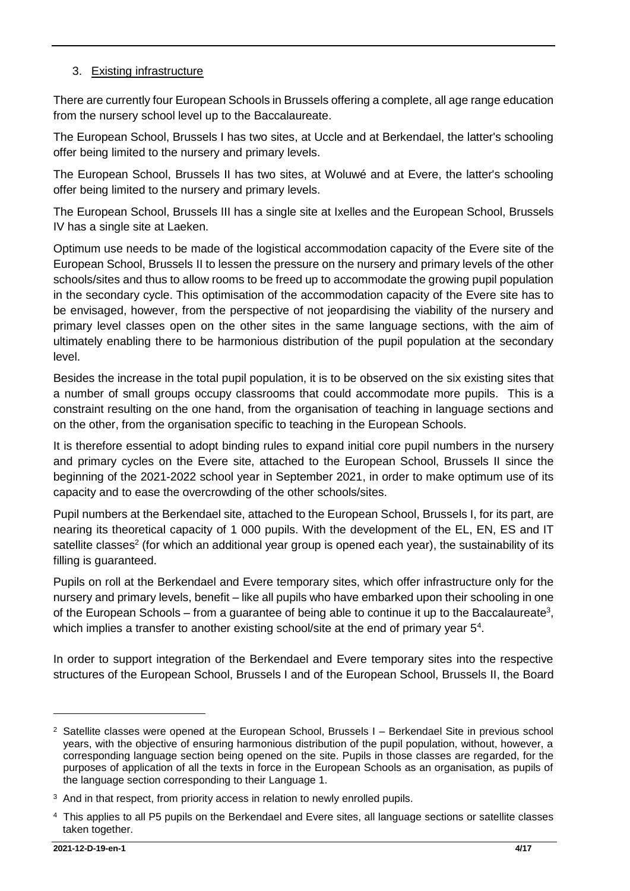### 3. Existing infrastructure

There are currently four European Schools in Brussels offering a complete, all age range education from the nursery school level up to the Baccalaureate.

The European School, Brussels I has two sites, at Uccle and at Berkendael, the latter's schooling offer being limited to the nursery and primary levels.

The European School, Brussels II has two sites, at Woluwé and at Evere, the latter's schooling offer being limited to the nursery and primary levels.

The European School, Brussels III has a single site at Ixelles and the European School, Brussels IV has a single site at Laeken.

Optimum use needs to be made of the logistical accommodation capacity of the Evere site of the European School, Brussels II to lessen the pressure on the nursery and primary levels of the other schools/sites and thus to allow rooms to be freed up to accommodate the growing pupil population in the secondary cycle. This optimisation of the accommodation capacity of the Evere site has to be envisaged, however, from the perspective of not jeopardising the viability of the nursery and primary level classes open on the other sites in the same language sections, with the aim of ultimately enabling there to be harmonious distribution of the pupil population at the secondary level.

Besides the increase in the total pupil population, it is to be observed on the six existing sites that a number of small groups occupy classrooms that could accommodate more pupils. This is a constraint resulting on the one hand, from the organisation of teaching in language sections and on the other, from the organisation specific to teaching in the European Schools.

It is therefore essential to adopt binding rules to expand initial core pupil numbers in the nursery and primary cycles on the Evere site, attached to the European School, Brussels II since the beginning of the 2021-2022 school year in September 2021, in order to make optimum use of its capacity and to ease the overcrowding of the other schools/sites.

Pupil numbers at the Berkendael site, attached to the European School, Brussels I, for its part, are nearing its theoretical capacity of 1 000 pupils. With the development of the EL, EN, ES and IT satellite classes<sup>2</sup> (for which an additional year group is opened each year), the sustainability of its filling is guaranteed.

Pupils on roll at the Berkendael and Evere temporary sites, which offer infrastructure only for the nursery and primary levels, benefit – like all pupils who have embarked upon their schooling in one of the European Schools – from a guarantee of being able to continue it up to the Baccalaureate<sup>3</sup>, which implies a transfer to another existing school/site at the end of primary year 5<sup>4</sup>.

In order to support integration of the Berkendael and Evere temporary sites into the respective structures of the European School, Brussels I and of the European School, Brussels II, the Board

<sup>&</sup>lt;sup>2</sup> Satellite classes were opened at the European School, Brussels I – Berkendael Site in previous school years, with the objective of ensuring harmonious distribution of the pupil population, without, however, a corresponding language section being opened on the site. Pupils in those classes are regarded, for the purposes of application of all the texts in force in the European Schools as an organisation, as pupils of the language section corresponding to their Language 1.

<sup>&</sup>lt;sup>3</sup> And in that respect, from priority access in relation to newly enrolled pupils.

<sup>4</sup> This applies to all P5 pupils on the Berkendael and Evere sites, all language sections or satellite classes taken together.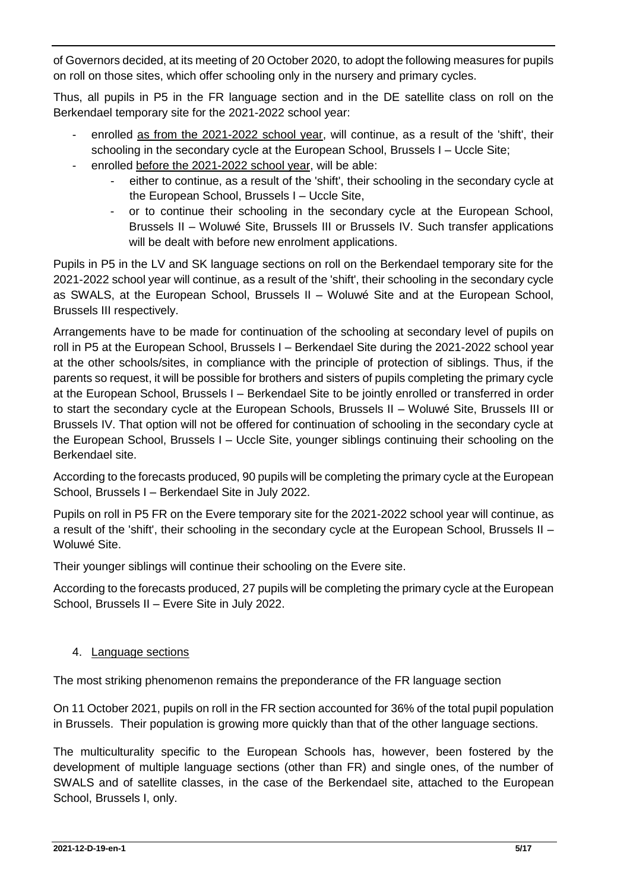of Governors decided, at its meeting of 20 October 2020, to adopt the following measures for pupils on roll on those sites, which offer schooling only in the nursery and primary cycles.

Thus, all pupils in P5 in the FR language section and in the DE satellite class on roll on the Berkendael temporary site for the 2021-2022 school year:

- enrolled as from the 2021-2022 school year, will continue, as a result of the 'shift', their schooling in the secondary cycle at the European School, Brussels I – Uccle Site;
- enrolled before the 2021-2022 school year, will be able:
	- either to continue, as a result of the 'shift', their schooling in the secondary cycle at the European School, Brussels I – Uccle Site,
	- or to continue their schooling in the secondary cycle at the European School, Brussels II – Woluwé Site, Brussels III or Brussels IV. Such transfer applications will be dealt with before new enrolment applications.

Pupils in P5 in the LV and SK language sections on roll on the Berkendael temporary site for the 2021-2022 school year will continue, as a result of the 'shift', their schooling in the secondary cycle as SWALS, at the European School, Brussels II – Woluwé Site and at the European School, Brussels III respectively.

Arrangements have to be made for continuation of the schooling at secondary level of pupils on roll in P5 at the European School, Brussels I – Berkendael Site during the 2021-2022 school year at the other schools/sites, in compliance with the principle of protection of siblings. Thus, if the parents so request, it will be possible for brothers and sisters of pupils completing the primary cycle at the European School, Brussels I – Berkendael Site to be jointly enrolled or transferred in order to start the secondary cycle at the European Schools, Brussels II – Woluwé Site, Brussels III or Brussels IV. That option will not be offered for continuation of schooling in the secondary cycle at the European School, Brussels I – Uccle Site, younger siblings continuing their schooling on the Berkendael site.

According to the forecasts produced, 90 pupils will be completing the primary cycle at the European School, Brussels I – Berkendael Site in July 2022.

Pupils on roll in P5 FR on the Evere temporary site for the 2021-2022 school year will continue, as a result of the 'shift', their schooling in the secondary cycle at the European School, Brussels II – Woluwé Site.

Their younger siblings will continue their schooling on the Evere site.

According to the forecasts produced, 27 pupils will be completing the primary cycle at the European School, Brussels II – Evere Site in July 2022.

#### 4. Language sections

The most striking phenomenon remains the preponderance of the FR language section

On 11 October 2021, pupils on roll in the FR section accounted for 36% of the total pupil population in Brussels. Their population is growing more quickly than that of the other language sections.

The multiculturality specific to the European Schools has, however, been fostered by the development of multiple language sections (other than FR) and single ones, of the number of SWALS and of satellite classes, in the case of the Berkendael site, attached to the European School, Brussels I, only.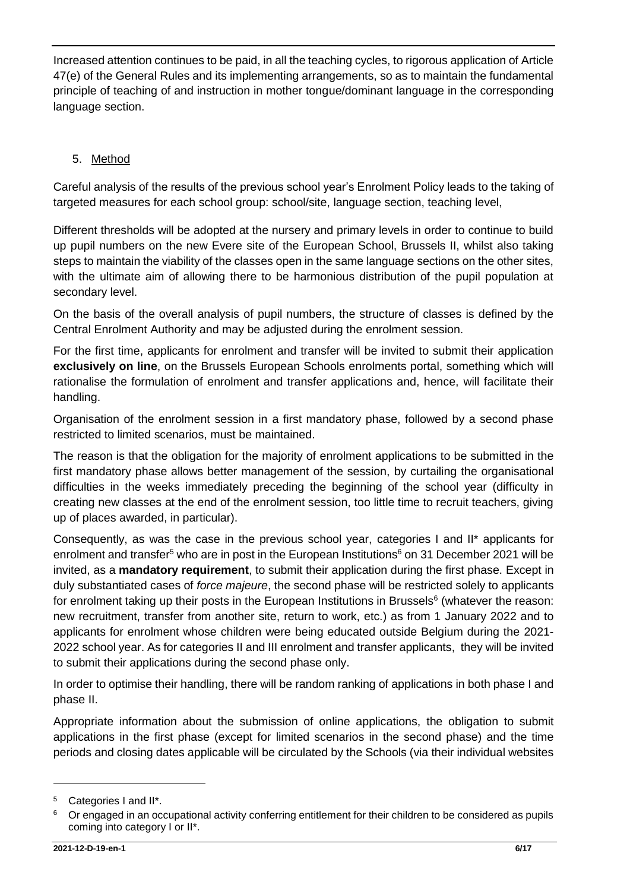Increased attention continues to be paid, in all the teaching cycles, to rigorous application of Article 47(e) of the General Rules and its implementing arrangements, so as to maintain the fundamental principle of teaching of and instruction in mother tongue/dominant language in the corresponding language section.

# 5. Method

Careful analysis of the results of the previous school year's Enrolment Policy leads to the taking of targeted measures for each school group: school/site, language section, teaching level,

Different thresholds will be adopted at the nursery and primary levels in order to continue to build up pupil numbers on the new Evere site of the European School, Brussels II, whilst also taking steps to maintain the viability of the classes open in the same language sections on the other sites, with the ultimate aim of allowing there to be harmonious distribution of the pupil population at secondary level.

On the basis of the overall analysis of pupil numbers, the structure of classes is defined by the Central Enrolment Authority and may be adjusted during the enrolment session.

For the first time, applicants for enrolment and transfer will be invited to submit their application **exclusively on line**, on the Brussels European Schools enrolments portal, something which will rationalise the formulation of enrolment and transfer applications and, hence, will facilitate their handling.

Organisation of the enrolment session in a first mandatory phase, followed by a second phase restricted to limited scenarios, must be maintained.

The reason is that the obligation for the majority of enrolment applications to be submitted in the first mandatory phase allows better management of the session, by curtailing the organisational difficulties in the weeks immediately preceding the beginning of the school year (difficulty in creating new classes at the end of the enrolment session, too little time to recruit teachers, giving up of places awarded, in particular).

<span id="page-5-0"></span>Consequently, as was the case in the previous school year, categories I and II\* applicants for enrolment and transfer<sup>5</sup> who are in post in the European Institutions<sup>6</sup> on 31 December 2021 will be invited, as a **mandatory requirement**, to submit their application during the first phase. Except in duly substantiated cases of *force majeure*, the second phase will be restricted solely to applicants for enrolment taking up their posts in the European Institutions in Brussels<sup>[6](#page-5-0)</sup> (whatever the reason: new recruitment, transfer from another site, return to work, etc.) as from 1 January 2022 and to applicants for enrolment whose children were being educated outside Belgium during the 2021- 2022 school year. As for categories II and III enrolment and transfer applicants, they will be invited to submit their applications during the second phase only.

In order to optimise their handling, there will be random ranking of applications in both phase I and phase II.

Appropriate information about the submission of online applications, the obligation to submit applications in the first phase (except for limited scenarios in the second phase) and the time periods and closing dates applicable will be circulated by the Schools (via their individual websites

<sup>5</sup> Categories I and II\*.

<sup>6</sup> Or engaged in an occupational activity conferring entitlement for their children to be considered as pupils coming into category I or II\*.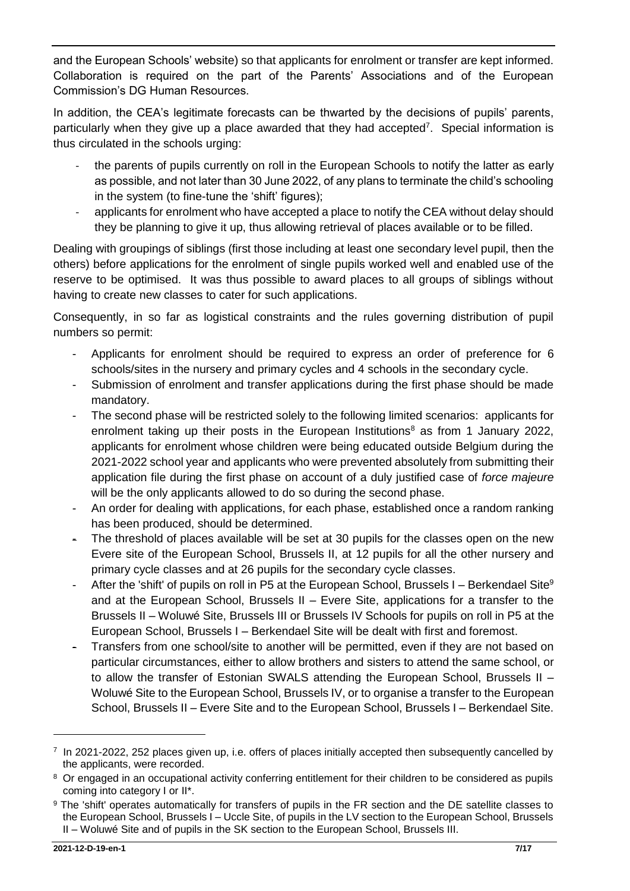and the European Schools' website) so that applicants for enrolment or transfer are kept informed. Collaboration is required on the part of the Parents' Associations and of the European Commission's DG Human Resources.

In addition, the CEA's legitimate forecasts can be thwarted by the decisions of pupils' parents, particularly when they give up a place awarded that they had accepted<sup>7</sup>. Special information is thus circulated in the schools urging:

- the parents of pupils currently on roll in the European Schools to notify the latter as early as possible, and not later than 30 June 2022, of any plans to terminate the child's schooling in the system (to fine-tune the 'shift' figures);
- applicants for enrolment who have accepted a place to notify the CEA without delay should they be planning to give it up, thus allowing retrieval of places available or to be filled.

Dealing with groupings of siblings (first those including at least one secondary level pupil, then the others) before applications for the enrolment of single pupils worked well and enabled use of the reserve to be optimised. It was thus possible to award places to all groups of siblings without having to create new classes to cater for such applications.

Consequently, in so far as logistical constraints and the rules governing distribution of pupil numbers so permit:

- Applicants for enrolment should be required to express an order of preference for 6 schools/sites in the nursery and primary cycles and 4 schools in the secondary cycle.
- Submission of enrolment and transfer applications during the first phase should be made mandatory.
- The second phase will be restricted solely to the following limited scenarios: applicants for enrolment taking up their posts in the European Institutions<sup>8</sup> as from 1 January 2022, applicants for enrolment whose children were being educated outside Belgium during the 2021-2022 school year and applicants who were prevented absolutely from submitting their application file during the first phase on account of a duly justified case of *force majeure* will be the only applicants allowed to do so during the second phase.
- An order for dealing with applications, for each phase, established once a random ranking has been produced, should be determined.
- The threshold of places available will be set at 30 pupils for the classes open on the new Evere site of the European School, Brussels II, at 12 pupils for all the other nursery and primary cycle classes and at 26 pupils for the secondary cycle classes.
- After the 'shift' of pupils on roll in P5 at the European School, Brussels I Berkendael Site $9$ and at the European School, Brussels II – Evere Site, applications for a transfer to the Brussels II – Woluwé Site, Brussels III or Brussels IV Schools for pupils on roll in P5 at the European School, Brussels I – Berkendael Site will be dealt with first and foremost.
- Transfers from one school/site to another will be permitted, even if they are not based on particular circumstances, either to allow brothers and sisters to attend the same school, or to allow the transfer of Estonian SWALS attending the European School, Brussels II – Woluwé Site to the European School, Brussels IV, or to organise a transfer to the European School, Brussels II – Evere Site and to the European School, Brussels I – Berkendael Site.

<sup>7</sup> In 2021-2022, 252 places given up, i.e. offers of places initially accepted then subsequently cancelled by the applicants, were recorded.

<sup>&</sup>lt;sup>8</sup> Or engaged in an occupational activity conferring entitlement for their children to be considered as pupils coming into category I or II\*.

<sup>9</sup> The 'shift' operates automatically for transfers of pupils in the FR section and the DE satellite classes to the European School, Brussels I – Uccle Site, of pupils in the LV section to the European School, Brussels II – Woluwé Site and of pupils in the SK section to the European School, Brussels III.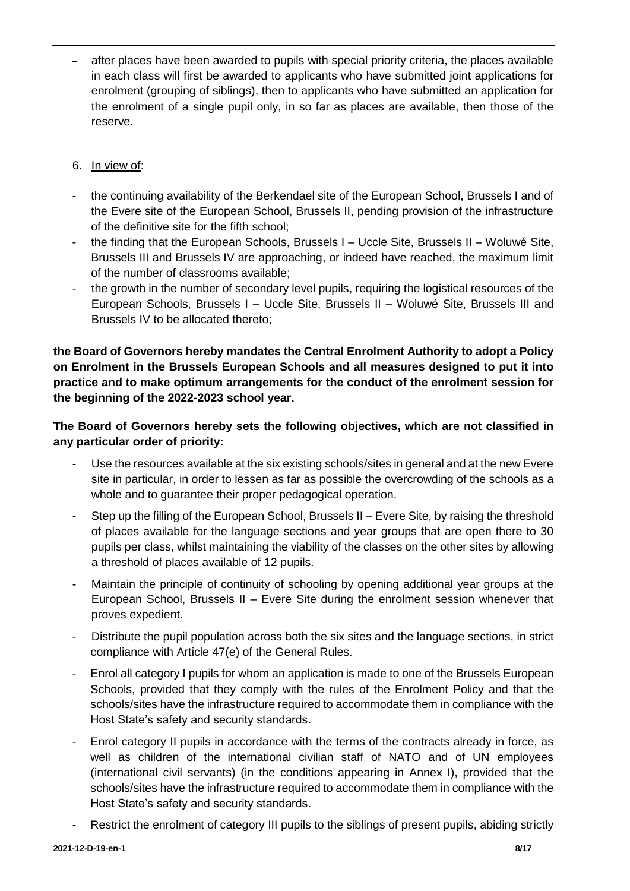after places have been awarded to pupils with special priority criteria, the places available in each class will first be awarded to applicants who have submitted joint applications for enrolment (grouping of siblings), then to applicants who have submitted an application for the enrolment of a single pupil only, in so far as places are available, then those of the reserve.

#### 6. In view of:

- the continuing availability of the Berkendael site of the European School, Brussels I and of the Evere site of the European School, Brussels II, pending provision of the infrastructure of the definitive site for the fifth school;
- the finding that the European Schools, Brussels I Uccle Site, Brussels II Woluwé Site, Brussels III and Brussels IV are approaching, or indeed have reached, the maximum limit of the number of classrooms available;
- the growth in the number of secondary level pupils, requiring the logistical resources of the European Schools, Brussels I – Uccle Site, Brussels II – Woluwé Site, Brussels III and Brussels IV to be allocated thereto;

**the Board of Governors hereby mandates the Central Enrolment Authority to adopt a Policy on Enrolment in the Brussels European Schools and all measures designed to put it into practice and to make optimum arrangements for the conduct of the enrolment session for the beginning of the 2022-2023 school year.**

**The Board of Governors hereby sets the following objectives, which are not classified in any particular order of priority:** 

- Use the resources available at the six existing schools/sites in general and at the new Evere site in particular, in order to lessen as far as possible the overcrowding of the schools as a whole and to guarantee their proper pedagogical operation.
- Step up the filling of the European School, Brussels II Evere Site, by raising the threshold of places available for the language sections and year groups that are open there to 30 pupils per class, whilst maintaining the viability of the classes on the other sites by allowing a threshold of places available of 12 pupils.
- Maintain the principle of continuity of schooling by opening additional year groups at the European School, Brussels II – Evere Site during the enrolment session whenever that proves expedient.
- Distribute the pupil population across both the six sites and the language sections, in strict compliance with Article 47(e) of the General Rules.
- Enrol all category I pupils for whom an application is made to one of the Brussels European Schools, provided that they comply with the rules of the Enrolment Policy and that the schools/sites have the infrastructure required to accommodate them in compliance with the Host State's safety and security standards.
- Enrol category II pupils in accordance with the terms of the contracts already in force, as well as children of the international civilian staff of NATO and of UN employees (international civil servants) (in the conditions appearing in Annex I), provided that the schools/sites have the infrastructure required to accommodate them in compliance with the Host State's safety and security standards.
- Restrict the enrolment of category III pupils to the siblings of present pupils, abiding strictly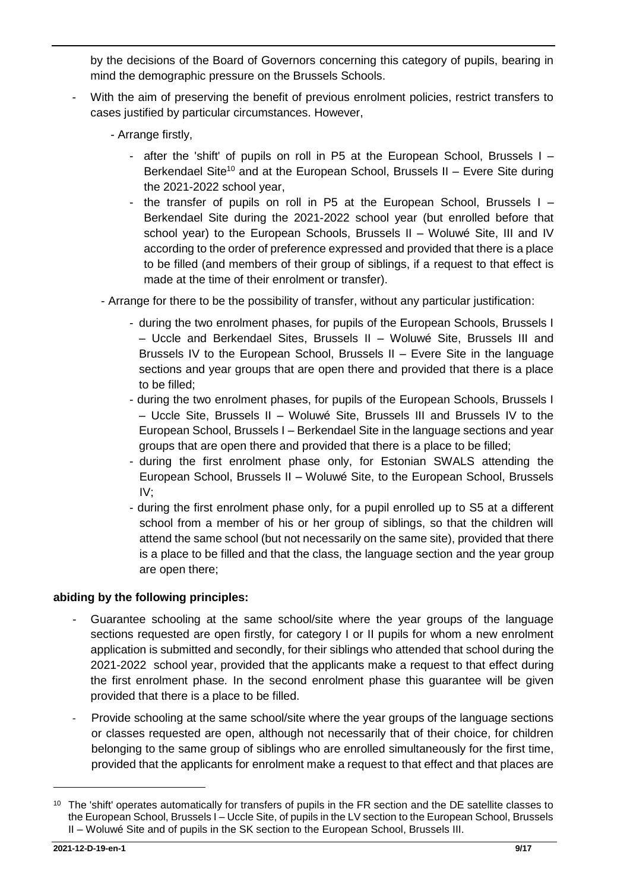by the decisions of the Board of Governors concerning this category of pupils, bearing in mind the demographic pressure on the Brussels Schools.

- With the aim of preserving the benefit of previous enrolment policies, restrict transfers to cases justified by particular circumstances. However,
	- Arrange firstly,
		- after the 'shift' of pupils on roll in P5 at the European School, Brussels I Berkendael Site<sup>10</sup> and at the European School, Brussels II – Evere Site during the 2021-2022 school year,
		- the transfer of pupils on roll in P5 at the European School, Brussels I Berkendael Site during the 2021-2022 school year (but enrolled before that school year) to the European Schools, Brussels II – Woluwé Site, III and IV according to the order of preference expressed and provided that there is a place to be filled (and members of their group of siblings, if a request to that effect is made at the time of their enrolment or transfer).
	- Arrange for there to be the possibility of transfer, without any particular justification:
		- during the two enrolment phases, for pupils of the European Schools, Brussels I – Uccle and Berkendael Sites, Brussels II – Woluwé Site, Brussels III and Brussels IV to the European School, Brussels II – Evere Site in the language sections and year groups that are open there and provided that there is a place to be filled;
		- during the two enrolment phases, for pupils of the European Schools, Brussels I – Uccle Site, Brussels II – Woluwé Site, Brussels III and Brussels IV to the European School, Brussels I – Berkendael Site in the language sections and year groups that are open there and provided that there is a place to be filled;
		- during the first enrolment phase only, for Estonian SWALS attending the European School, Brussels II – Woluwé Site, to the European School, Brussels IV;
		- during the first enrolment phase only, for a pupil enrolled up to S5 at a different school from a member of his or her group of siblings, so that the children will attend the same school (but not necessarily on the same site), provided that there is a place to be filled and that the class, the language section and the year group are open there;

#### **abiding by the following principles:**

- *-* Guarantee schooling at the same school/site where the year groups of the language sections requested are open firstly, for category I or II pupils for whom a new enrolment application is submitted and secondly, for their siblings who attended that school during the 2021-2022 school year, provided that the applicants make a request to that effect during the first enrolment phase*.* In the second enrolment phase this guarantee will be given provided that there is a place to be filled.
- Provide schooling at the same school/site where the year groups of the language sections or classes requested are open, although not necessarily that of their choice, for children belonging to the same group of siblings who are enrolled simultaneously for the first time, provided that the applicants for enrolment make a request to that effect and that places are

<sup>&</sup>lt;sup>10</sup> The 'shift' operates automatically for transfers of pupils in the FR section and the DE satellite classes to the European School, Brussels I – Uccle Site, of pupils in the LV section to the European School, Brussels II – Woluwé Site and of pupils in the SK section to the European School, Brussels III.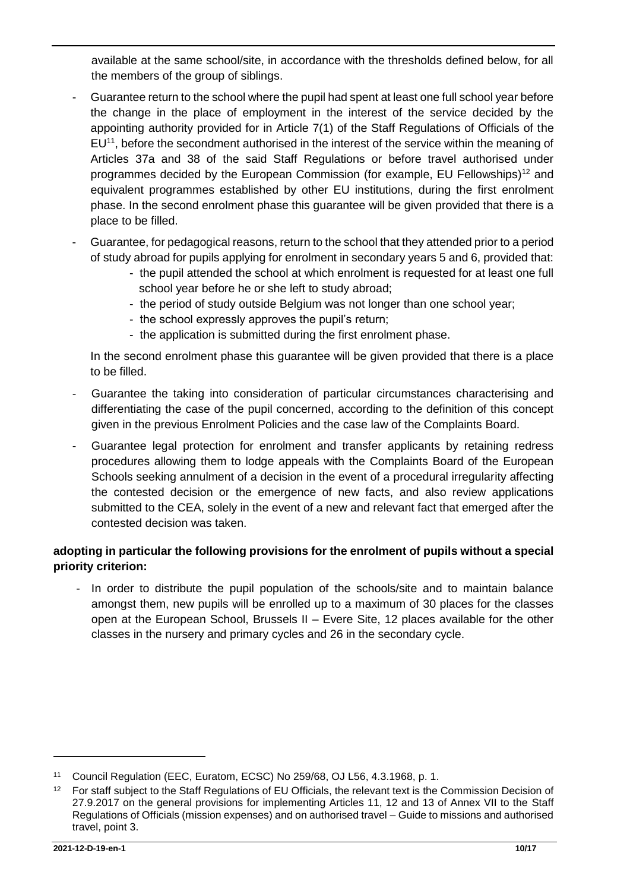available at the same school/site, in accordance with the thresholds defined below, for all the members of the group of siblings.

- Guarantee return to the school where the pupil had spent at least one full school year before the change in the place of employment in the interest of the service decided by the appointing authority provided for in Article 7(1) of the Staff Regulations of Officials of the  $EU<sup>11</sup>$ , before the secondment authorised in the interest of the service within the meaning of Articles 37a and 38 of the said Staff Regulations or before travel authorised under programmes decided by the European Commission (for example, EU Fellowships)<sup>12</sup> and equivalent programmes established by other EU institutions, during the first enrolment phase. In the second enrolment phase this guarantee will be given provided that there is a place to be filled.
- Guarantee, for pedagogical reasons, return to the school that they attended prior to a period of study abroad for pupils applying for enrolment in secondary years 5 and 6, provided that:
	- the pupil attended the school at which enrolment is requested for at least one full school year before he or she left to study abroad;
	- the period of study outside Belgium was not longer than one school year;
	- the school expressly approves the pupil's return;
	- the application is submitted during the first enrolment phase.

In the second enrolment phase this guarantee will be given provided that there is a place to be filled.

- Guarantee the taking into consideration of particular circumstances characterising and differentiating the case of the pupil concerned, according to the definition of this concept given in the previous Enrolment Policies and the case law of the Complaints Board.
- Guarantee legal protection for enrolment and transfer applicants by retaining redress procedures allowing them to lodge appeals with the Complaints Board of the European Schools seeking annulment of a decision in the event of a procedural irregularity affecting the contested decision or the emergence of new facts, and also review applications submitted to the CEA, solely in the event of a new and relevant fact that emerged after the contested decision was taken.

## **adopting in particular the following provisions for the enrolment of pupils without a special priority criterion:**

- In order to distribute the pupil population of the schools/site and to maintain balance amongst them, new pupils will be enrolled up to a maximum of 30 places for the classes open at the European School, Brussels II – Evere Site, 12 places available for the other classes in the nursery and primary cycles and 26 in the secondary cycle.

<sup>11</sup> Council Regulation (EEC, Euratom, ECSC) No 259/68, OJ L56, 4.3.1968, p. 1.

<sup>&</sup>lt;sup>12</sup> For staff subject to the Staff Regulations of EU Officials, the relevant text is the Commission Decision of 27.9.2017 on the general provisions for implementing Articles 11, 12 and 13 of Annex VII to the Staff Regulations of Officials (mission expenses) and on authorised travel – Guide to missions and authorised travel, point 3.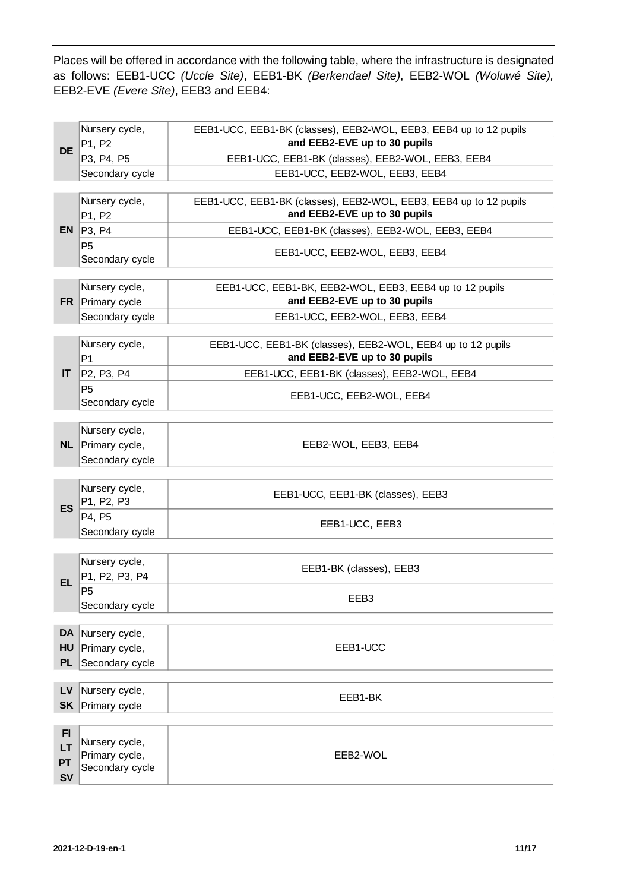Places will be offered in accordance with the following table, where the infrastructure is designated as follows: EEB1-UCC *(Uccle Site)*, EEB1-BK *(Berkendael Site)*, EEB2-WOL *(Woluwé Site),* EEB2-EVE *(Evere Site)*, EEB3 and EEB4:

| <b>DE</b> | Nursery cycle,<br>P1, P2          | EEB1-UCC, EEB1-BK (classes), EEB2-WOL, EEB3, EEB4 up to 12 pupils<br>and EEB2-EVE up to 30 pupils |
|-----------|-----------------------------------|---------------------------------------------------------------------------------------------------|
|           | P3, P4, P5                        | EEB1-UCC, EEB1-BK (classes), EEB2-WOL, EEB3, EEB4                                                 |
|           | Secondary cycle                   | EEB1-UCC, EEB2-WOL, EEB3, EEB4                                                                    |
|           |                                   |                                                                                                   |
|           | Nursery cycle,<br>P1, P2          | EEB1-UCC, EEB1-BK (classes), EEB2-WOL, EEB3, EEB4 up to 12 pupils<br>and EEB2-EVE up to 30 pupils |
| EN.       | P3, P4                            | EEB1-UCC, EEB1-BK (classes), EEB2-WOL, EEB3, EEB4                                                 |
|           | <b>P5</b><br>Secondary cycle      | EEB1-UCC, EEB2-WOL, EEB3, EEB4                                                                    |
|           |                                   |                                                                                                   |
|           | Nursery cycle,                    | EEB1-UCC, EEB1-BK, EEB2-WOL, EEB3, EEB4 up to 12 pupils                                           |
| <b>FR</b> | Primary cycle                     | and EEB2-EVE up to 30 pupils                                                                      |
|           | Secondary cycle                   | EEB1-UCC, EEB2-WOL, EEB3, EEB4                                                                    |
|           | Nursery cycle,<br>P <sub>1</sub>  | EEB1-UCC, EEB1-BK (classes), EEB2-WOL, EEB4 up to 12 pupils<br>and EEB2-EVE up to 30 pupils       |
| IT.       | P2, P3, P4                        | EEB1-UCC, EEB1-BK (classes), EEB2-WOL, EEB4                                                       |
|           | P <sub>5</sub><br>Secondary cycle | EEB1-UCC, EEB2-WOL, EEB4                                                                          |
|           | Nursery cycle,                    |                                                                                                   |
|           | $NL$ Primary cycle,               | EEB2-WOL, EEB3, EEB4                                                                              |
|           | Secondary cycle                   |                                                                                                   |
|           |                                   |                                                                                                   |
| <b>ES</b> | Nursery cycle,<br>P1, P2, P3      | EEB1-UCC, EEB1-BK (classes), EEB3                                                                 |
|           | P4, P5<br>Secondary cycle         | EEB1-UCC, EEB3                                                                                    |
|           |                                   |                                                                                                   |
|           | Nursery cycle,                    | EEB1-BK (classes), EEB3                                                                           |
| <b>EL</b> | P1, P2, P3, P4                    |                                                                                                   |
|           | P <sub>5</sub>                    | EEB3                                                                                              |
|           | Secondary cycle                   |                                                                                                   |
| <b>DA</b> | Nursery cycle,                    |                                                                                                   |
| <b>HU</b> | Primary cycle,                    | EEB1-UCC                                                                                          |
| <b>PL</b> | Secondary cycle                   |                                                                                                   |
|           |                                   |                                                                                                   |
| LV        | Nursery cycle,                    |                                                                                                   |
| <b>SK</b> | Primary cycle                     | EEB1-BK                                                                                           |
|           |                                   |                                                                                                   |
| FI.       |                                   |                                                                                                   |
| LT        | Nursery cycle,<br>Primary cycle,  | EEB2-WOL                                                                                          |
| <b>PT</b> | Secondary cycle                   |                                                                                                   |
| <b>SV</b> |                                   |                                                                                                   |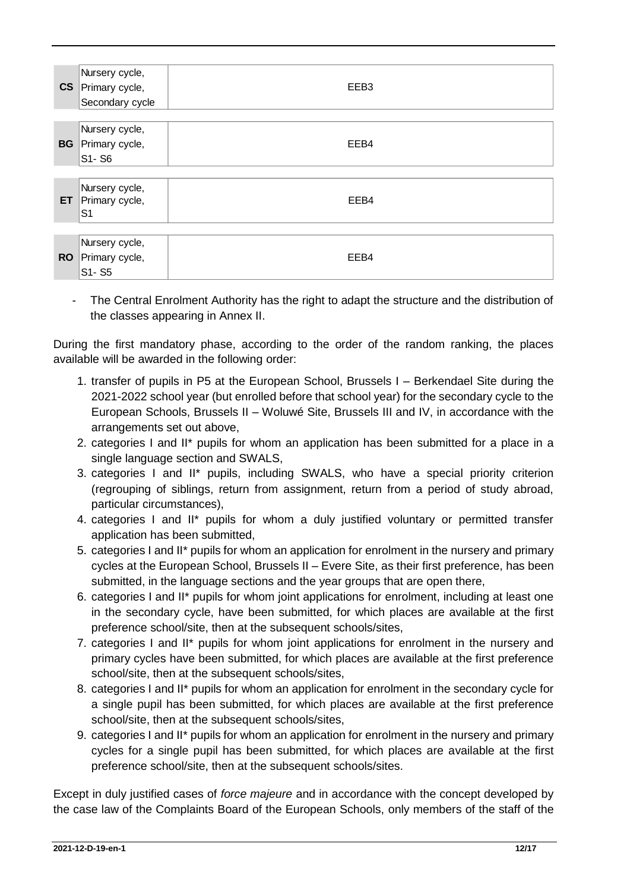|           | Nursery cycle,<br>CS Primary cycle,<br>Secondary cycle | EEB <sub>3</sub> |
|-----------|--------------------------------------------------------|------------------|
|           | Nursery cycle,<br><b>BG</b> Primary cycle,<br>S1-S6    | EEB4             |
| ET.       | Nursery cycle,<br>Primary cycle,<br>S <sub>1</sub>     | EEB4             |
| <b>RO</b> | Nursery cycle,<br>Primary cycle,<br>S1-S5              | EEB4             |

- The Central Enrolment Authority has the right to adapt the structure and the distribution of the classes appearing in Annex II.

During the first mandatory phase, according to the order of the random ranking, the places available will be awarded in the following order:

- 1. transfer of pupils in P5 at the European School, Brussels I Berkendael Site during the 2021-2022 school year (but enrolled before that school year) for the secondary cycle to the European Schools, Brussels II – Woluwé Site, Brussels III and IV, in accordance with the arrangements set out above,
- 2. categories I and II\* pupils for whom an application has been submitted for a place in a single language section and SWALS,
- 3. categories I and II\* pupils, including SWALS, who have a special priority criterion (regrouping of siblings, return from assignment, return from a period of study abroad, particular circumstances),
- 4. categories I and II\* pupils for whom a duly justified voluntary or permitted transfer application has been submitted,
- 5. categories I and II\* pupils for whom an application for enrolment in the nursery and primary cycles at the European School, Brussels II – Evere Site, as their first preference, has been submitted, in the language sections and the year groups that are open there,
- 6. categories I and II\* pupils for whom joint applications for enrolment, including at least one in the secondary cycle, have been submitted, for which places are available at the first preference school/site, then at the subsequent schools/sites,
- 7. categories I and II\* pupils for whom joint applications for enrolment in the nursery and primary cycles have been submitted, for which places are available at the first preference school/site, then at the subsequent schools/sites,
- 8. categories I and II\* pupils for whom an application for enrolment in the secondary cycle for a single pupil has been submitted, for which places are available at the first preference school/site, then at the subsequent schools/sites,
- 9. categories I and II\* pupils for whom an application for enrolment in the nursery and primary cycles for a single pupil has been submitted, for which places are available at the first preference school/site, then at the subsequent schools/sites.

Except in duly justified cases of *force majeure* and in accordance with the concept developed by the case law of the Complaints Board of the European Schools, only members of the staff of the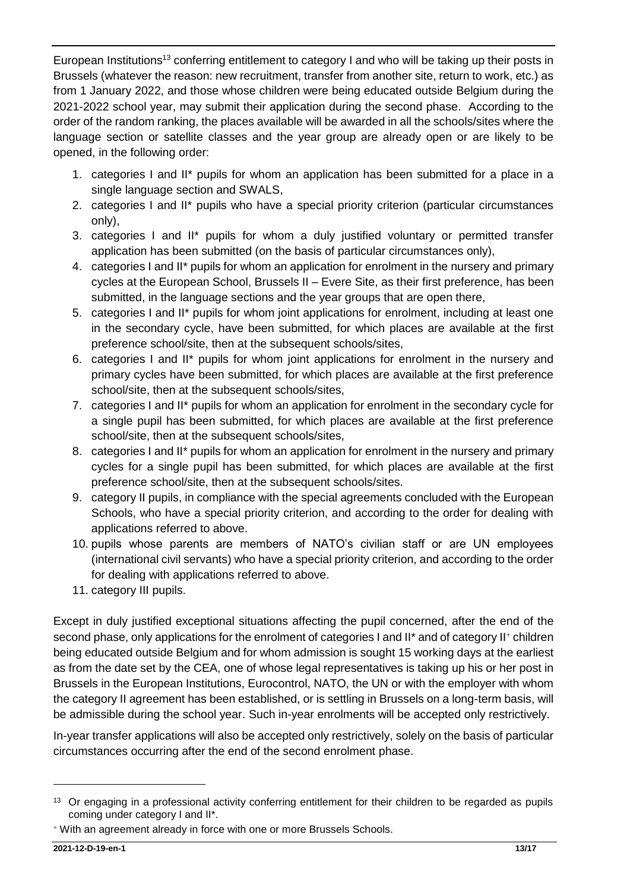European Institutions<sup>13</sup> conferring entitlement to category I and who will be taking up their posts in Brussels (whatever the reason: new recruitment, transfer from another site, return to work, etc.) as from 1 January 2022, and those whose children were being educated outside Belgium during the 2021-2022 school year, may submit their application during the second phase. According to the order of the random ranking, the places available will be awarded in all the schools/sites where the language section or satellite classes and the year group are already open or are likely to be opened, in the following order:

- 1. categories I and II\* pupils for whom an application has been submitted for a place in a single language section and SWALS,
- 2. categories I and II\* pupils who have a special priority criterion (particular circumstances only),
- 3. categories I and II\* pupils for whom a duly justified voluntary or permitted transfer application has been submitted (on the basis of particular circumstances only),
- 4. categories I and II\* pupils for whom an application for enrolment in the nursery and primary cycles at the European School, Brussels II – Evere Site, as their first preference, has been submitted, in the language sections and the year groups that are open there,
- 5. categories I and II\* pupils for whom joint applications for enrolment, including at least one in the secondary cycle, have been submitted, for which places are available at the first preference school/site, then at the subsequent schools/sites,
- 6. categories I and II\* pupils for whom joint applications for enrolment in the nursery and primary cycles have been submitted, for which places are available at the first preference school/site, then at the subsequent schools/sites,
- 7. categories I and II\* pupils for whom an application for enrolment in the secondary cycle for a single pupil has been submitted, for which places are available at the first preference school/site, then at the subsequent schools/sites,
- 8. categories I and II\* pupils for whom an application for enrolment in the nursery and primary cycles for a single pupil has been submitted, for which places are available at the first preference school/site, then at the subsequent schools/sites.
- 9. category II pupils, in compliance with the special agreements concluded with the European Schools, who have a special priority criterion, and according to the order for dealing with applications referred to above.
- 10. pupils whose parents are members of NATO's civilian staff or are UN employees (international civil servants) who have a special priority criterion, and according to the order for dealing with applications referred to above.
- 11. category III pupils.

Except in duly justified exceptional situations affecting the pupil concerned, after the end of the second phase, only applications for the enrolment of categories I and II\* and of category II+ children being educated outside Belgium and for whom admission is sought 15 working days at the earliest as from the date set by the CEA, one of whose legal representatives is taking up his or her post in Brussels in the European Institutions, Eurocontrol, NATO, the UN or with the employer with whom the category II agreement has been established, or is settling in Brussels on a long-term basis, will be admissible during the school year. Such in-year enrolments will be accepted only restrictively.

In-year transfer applications will also be accepted only restrictively, solely on the basis of particular circumstances occurring after the end of the second enrolment phase.

<sup>&</sup>lt;sup>13</sup> Or engaging in a professional activity conferring entitlement for their children to be regarded as pupils coming under category I and II\*.

<sup>+</sup> With an agreement already in force with one or more Brussels Schools.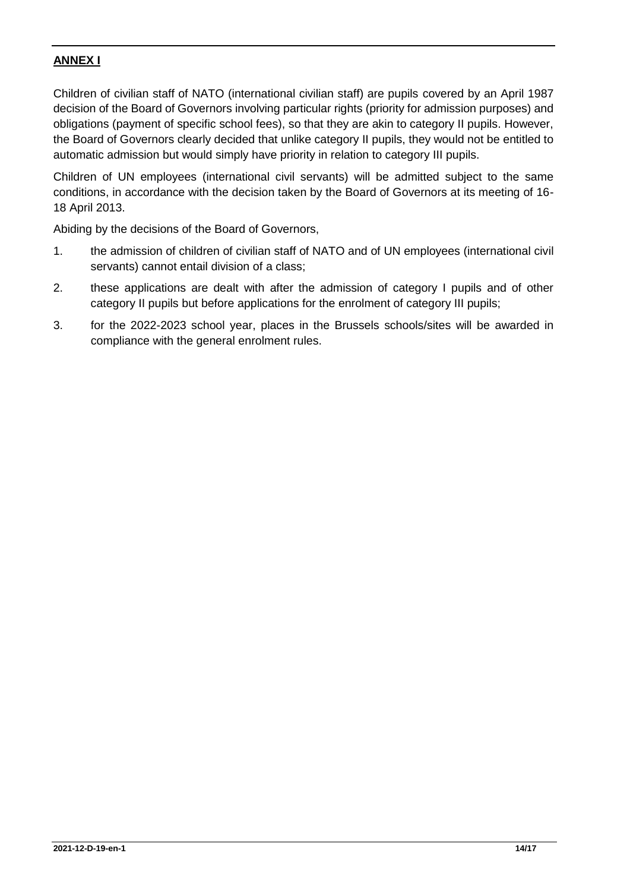# **ANNEX I**

Children of civilian staff of NATO (international civilian staff) are pupils covered by an April 1987 decision of the Board of Governors involving particular rights (priority for admission purposes) and obligations (payment of specific school fees), so that they are akin to category II pupils. However, the Board of Governors clearly decided that unlike category II pupils, they would not be entitled to automatic admission but would simply have priority in relation to category III pupils.

Children of UN employees (international civil servants) will be admitted subject to the same conditions, in accordance with the decision taken by the Board of Governors at its meeting of 16- 18 April 2013.

Abiding by the decisions of the Board of Governors,

- 1. the admission of children of civilian staff of NATO and of UN employees (international civil servants) cannot entail division of a class;
- 2. these applications are dealt with after the admission of category I pupils and of other category II pupils but before applications for the enrolment of category III pupils;
- 3. for the 2022-2023 school year, places in the Brussels schools/sites will be awarded in compliance with the general enrolment rules.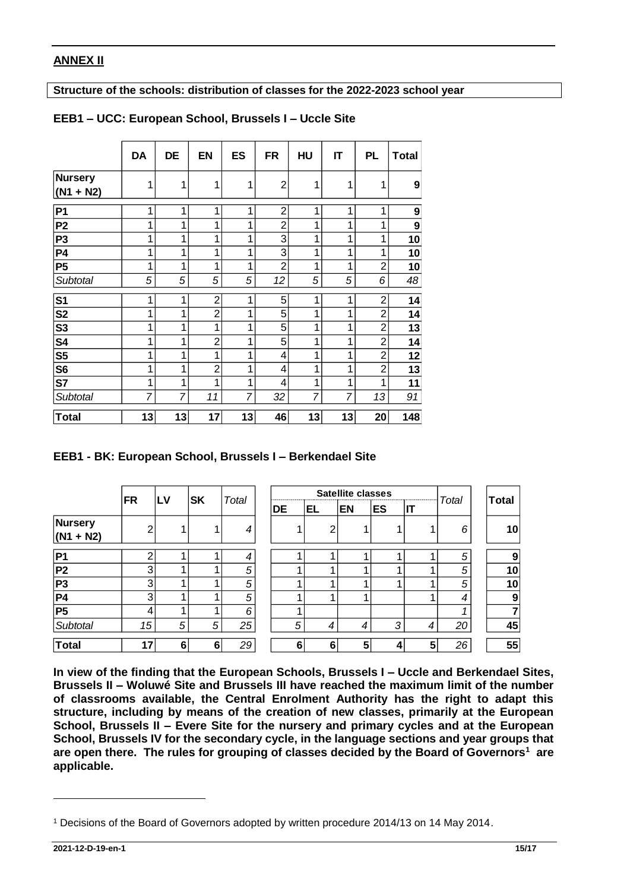#### **ANNEX II**

**Structure of the schools: distribution of classes for the 2022-2023 school year**

|                                                                   | <b>DA</b>      | DE           | EN             | ES             | <b>FR</b>      | HU        | IT                | <b>PL</b>      |   | <b>Total</b> |        |
|-------------------------------------------------------------------|----------------|--------------|----------------|----------------|----------------|-----------|-------------------|----------------|---|--------------|--------|
| Nursery<br>$(N1 + N2)$                                            | 1              | 1            | 1              | 1              | $\overline{2}$ | 1         | 1                 | 1              |   | 9            |        |
| <b>P1</b>                                                         | 1              | 1            | 1              | 1              | $\overline{2}$ | 1         | 1                 | 1              |   | 9            |        |
| P <sub>2</sub>                                                    | 1              | 1            | 1              | 1              | $\overline{2}$ | 1         | 1                 | 1              |   | 9            |        |
| P <sub>3</sub>                                                    | 1              | 1            | 1              | 1              | 3              | 1         | 1                 | 1              |   | 10           |        |
| <b>P4</b>                                                         | 1              | 1            | 1              | 1              | 3              | 1         | 1                 | 1              |   | 10           |        |
| <b>P5</b>                                                         | 1              | 1            | 1              | 1              | $\overline{2}$ | 1         | 1                 | $\overline{2}$ |   | 10           |        |
| Subtotal                                                          | 5              | 5            | 5              | 5              | 12             | 5         | 5                 | 6              |   | 48           |        |
| S <sub>1</sub>                                                    | 1              | 1            | $\overline{2}$ | 1              | 5              | 1         | 1                 | $\overline{2}$ |   | 14           |        |
| <b>S2</b>                                                         | 1              | 1            | $\overline{2}$ | 1              | 5              | 1         | 1                 | $\overline{2}$ |   | 14           |        |
| S <sub>3</sub>                                                    | 1              | 1            | 1              | 1              | 5              | 1         | 1                 | $\overline{2}$ |   | 13           |        |
| <b>S4</b>                                                         | 1              | 1            | $\overline{2}$ | 1              | 5              | 1         | 1                 | $\overline{2}$ |   | 14           |        |
| $S\overline{5}$                                                   | 1              | 1            | 1              | 1              | 4              | 1         | 1                 | $\overline{2}$ |   | 12           |        |
| S6                                                                | 1              | $\mathbf{1}$ | $\overline{2}$ | 1              | 4              | 1         | 1                 | $\overline{2}$ |   | 13           |        |
| S7                                                                | 1              | 1            | 1              | 1              | 4              | 1         | 1                 | 1              |   | 11           |        |
| Subtotal                                                          | 7              | 7            | 11             | $\overline{7}$ | 32             | 7         | 7                 | 13             |   | 91           |        |
|                                                                   |                |              | 17             | 13             | 46             | 13        | 13                | 20             |   | 148          |        |
|                                                                   | 13             | 13           |                |                |                |           |                   |                |   |              |        |
| Total<br>EEB1 - BK: European School, Brussels I - Berkendael Site |                |              |                |                |                |           | Satellite classes |                |   |              |        |
|                                                                   | <b>FR</b>      | <b>LV</b>    | <b>SK</b>      | Total          | <b>DE</b>      | <b>EL</b> | <b>EN</b>         | ES             |   | IT           | Total  |
|                                                                   | $\overline{2}$ | 1            | 1              | 4              |                | 1         | $\overline{2}$    | 1              | 1 | 1            | 6      |
|                                                                   | 2              | 1            | 1              | 4              |                | 1         | 1                 | 1              | 1 | 1            | 5      |
| <b>Nursery</b><br>$(N1 + N2)$<br><b>P1</b><br><b>P2</b>           | 3              | 1            | 1              | 5              |                | 1         | 1                 | 1              | 1 |              | 1<br>5 |
| P <sub>3</sub>                                                    | 3              | 1            | 1              | 5              |                | 1         | 1                 | 1              | 1 |              | 1<br>5 |
| <b>P4</b>                                                         | 3              | 1            | 1              | 5              |                | 1         | 1                 | 1              |   | 1            | 4      |
| <b>P5</b>                                                         | 4              | 1            | 1              | 6              |                | 1         |                   |                |   |              | 1      |
| Subtotal                                                          | 15             | 5            | 5              | 25             |                | 5         | 4                 | 4              | 3 | 4            | 20     |

#### **EEB1 – UCC: European School, Brussels I – Uccle Site**

#### **EEB1 - BK: European School, Brussels I – Berkendael Site**

|                        |                |    |                |       |    |    | <b>Satellite classes</b> |           | ,,,,,,,,,,,,,,,,,,,,,,,,,,,,, | Total | Total |    |
|------------------------|----------------|----|----------------|-------|----|----|--------------------------|-----------|-------------------------------|-------|-------|----|
|                        | FR             | LV | <b>SK</b>      | Total | DE | EL | <b>EN</b>                | <b>ES</b> | $\overline{\mathsf{I}}$       |       |       |    |
| Nursery<br>$(N1 + N2)$ | $\overline{2}$ |    |                | 4     |    | 2  |                          |           |                               | 6     |       | 10 |
| P <sub>1</sub>         | ົ              |    |                | 4     |    |    |                          |           |                               | 5     |       | 9  |
| P <sub>2</sub>         | 3              |    |                | 5     |    |    |                          |           |                               | 5     |       | 10 |
| P3                     | 3              |    |                | 5     |    |    |                          |           |                               | 5     |       | 10 |
| P4                     | 3              |    |                | 5     |    |    |                          |           |                               | 4     |       | 9  |
| P <sub>5</sub>         | 4              |    |                | 6     |    |    |                          |           |                               |       |       |    |
| Subtotal               | 15             | 5  | 5 <sup>1</sup> | 25    | 5  | 4  | 4                        | 3         | 4                             | 20    |       | 45 |
| <b>Total</b>           | 17             | 6  | 6              | 29    | 6  | 6  | 5                        | 4         | 5                             | 26    |       | 55 |

**In view of the finding that the European Schools, Brussels I – Uccle and Berkendael Sites, Brussels II – Woluwé Site and Brussels III have reached the maximum limit of the number of classrooms available, the Central Enrolment Authority has the right to adapt this structure, including by means of the creation of new classes, primarily at the European School, Brussels II – Evere Site for the nursery and primary cycles and at the European School, Brussels IV for the secondary cycle, in the language sections and year groups that are open there. The rules for grouping of classes decided by the Board of Governors<sup>1</sup> are applicable.**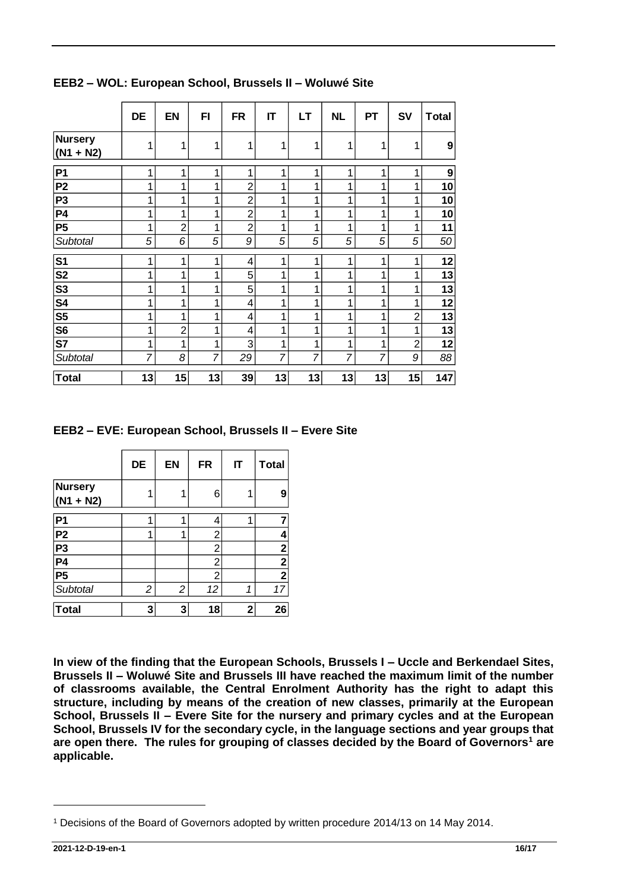| Nursery<br>$(N1 + N2)$<br><b>P1</b><br>P <sub>2</sub><br>P <sub>3</sub><br><b>P4</b><br><b>P5</b><br><b>Subtotal</b><br>S <sub>1</sub> | 1<br>1<br>1<br>1<br>1<br>1 | 1              |                         |                |                         |    | <b>NL</b> |    | <b>SV</b>      | <b>Total</b> |
|----------------------------------------------------------------------------------------------------------------------------------------|----------------------------|----------------|-------------------------|----------------|-------------------------|----|-----------|----|----------------|--------------|
|                                                                                                                                        |                            |                | 1                       | 1              | 1                       | 1  | 1         | 1  | 1              | 9            |
|                                                                                                                                        |                            | 1              | 1                       | 1              | 1                       | 1  | 1         | 1  | 1              | 9            |
|                                                                                                                                        |                            | 1              | 1                       | $\overline{c}$ | 1                       | 1  | 1         | 1  | 1              | 10           |
|                                                                                                                                        |                            | $\mathbf{1}$   | 1                       | $\overline{2}$ | 1                       | 1  | 1         | 1  | 1              | 10           |
|                                                                                                                                        |                            | 1              | 1                       | $\overline{2}$ | 1                       | 1  | 1         | 1  | 1              | 10           |
|                                                                                                                                        |                            | $\overline{2}$ | 1                       | $\overline{2}$ | 1                       | 1  | 1         | 1  | 1              | 11           |
|                                                                                                                                        | 5                          | 6              | 5                       | 9              | 5                       | 5  | 5         | 5  | 5              | 50           |
|                                                                                                                                        | 1                          | 1              | 1                       | 4              | 1                       | 1  | 1         | 1  | 1              | 12           |
| S <sub>2</sub>                                                                                                                         | 1                          | 1              | 1                       | 5              | 1                       | 1  | 1         | 1  | 1              | 13           |
| S <sub>3</sub>                                                                                                                         | 1                          | 1              | 1                       | 5              | 1                       | 1  | 1         | 1  | 1              | 13           |
| <b>S4</b>                                                                                                                              | 1                          | 1              | 1                       | 4              | 1                       | 1  | 1         | 1  | 1              | 12           |
| S <sub>5</sub>                                                                                                                         | 1                          | 1              | 1                       | 4              | 1                       | 1  | 1         | 1  | $\overline{2}$ | 13           |
| S <sub>6</sub>                                                                                                                         | 1                          | $\overline{2}$ | 1                       | 4              | 1                       | 1  | 1         | 1  | 1              | 13           |
| S7                                                                                                                                     | 1                          | $\mathbf{1}$   | 1                       | 3              | 1                       | 1  | 1         | 1  | $\overline{2}$ | 12           |
| Subtotal                                                                                                                               | 7                          | 8              | $\overline{7}$          | 29             | 7                       | 7  | 7         | 7  | 9              | 88           |
| Total                                                                                                                                  | 13                         | 15             | 13                      | 39             | 13                      | 13 | 13        | 13 | 15             | 147          |
|                                                                                                                                        | DE                         | EN             | <b>FR</b>               | IT             |                         |    |           |    |                |              |
|                                                                                                                                        |                            |                |                         |                | <b>Total</b>            |    |           |    |                |              |
|                                                                                                                                        | 1                          | 1              | 6                       | 1              | 9                       |    |           |    |                |              |
|                                                                                                                                        | 1                          | 1              | $\overline{\mathbf{4}}$ | 1              | $\overline{7}$          |    |           |    |                |              |
|                                                                                                                                        | 1                          | 1              | $\overline{2}$          |                | 4                       |    |           |    |                |              |
|                                                                                                                                        |                            |                | $\overline{2}$          |                | $\mathbf 2$             |    |           |    |                |              |
|                                                                                                                                        |                            |                | $\overline{c}$          |                | $\overline{2}$          |    |           |    |                |              |
|                                                                                                                                        |                            |                | $\overline{c}$          |                | $\overline{\mathbf{2}}$ |    |           |    |                |              |
| <b>Nursery</b><br>$(N1 + N2)$<br><b>P1</b><br>P <sub>2</sub><br>P <sub>3</sub><br><b>P4</b><br>P <sub>5</sub><br>Subtotal              | 2                          | $\overline{c}$ | 12                      | 1              | 17                      |    |           |    |                |              |

**EEB2 – WOL: European School, Brussels II – Woluwé Site**

**EEB2 – EVE: European School, Brussels II – Evere Site**

|                        | DE | <b>EN</b>      | <b>FR</b>      | IT | <b>Total</b>            |
|------------------------|----|----------------|----------------|----|-------------------------|
| Nursery<br>$(N1 + N2)$ | 1  |                | 6              |    | 9                       |
| <b>P1</b>              | 1  |                | 4              | 1  |                         |
| P <sub>2</sub>         | 1  |                | 2              |    | 4                       |
| P3                     |    |                | $\overline{c}$ |    | $\mathbf 2$             |
| $\overline{P4}$        |    |                | 2              |    | $\overline{\mathbf{2}}$ |
| P <sub>5</sub>         |    |                | 2              |    | $\mathbf 2$             |
| Subtotal               | 2  | $\overline{c}$ | 12             | 1  | 17                      |
| <b>Total</b>           | 3  | 3              | 18             | 2  | 26                      |

**In view of the finding that the European Schools, Brussels I – Uccle and Berkendael Sites, Brussels II – Woluwé Site and Brussels III have reached the maximum limit of the number of classrooms available, the Central Enrolment Authority has the right to adapt this structure, including by means of the creation of new classes, primarily at the European School, Brussels II – Evere Site for the nursery and primary cycles and at the European School, Brussels IV for the secondary cycle, in the language sections and year groups that are open there. The rules for grouping of classes decided by the Board of Governors<sup>1</sup> are applicable.**